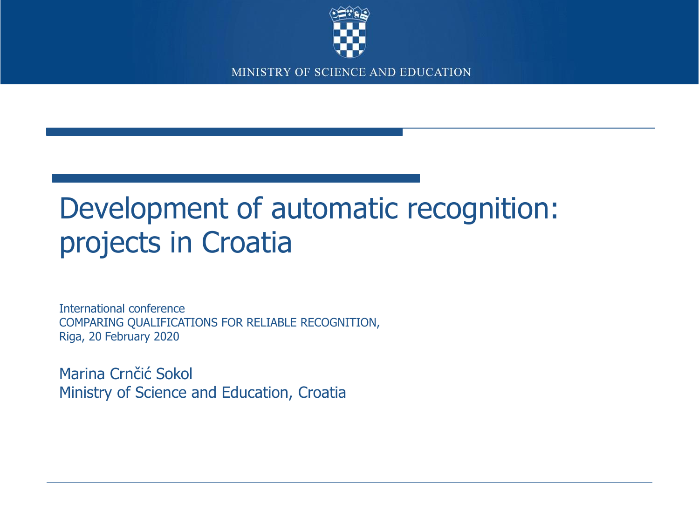

# Development of automatic recognition: projects in Croatia

International conference COMPARING QUALIFICATIONS FOR RELIABLE RECOGNITION, Riga, 20 February 2020

Marina Crnčić Sokol Ministry of Science and Education, Croatia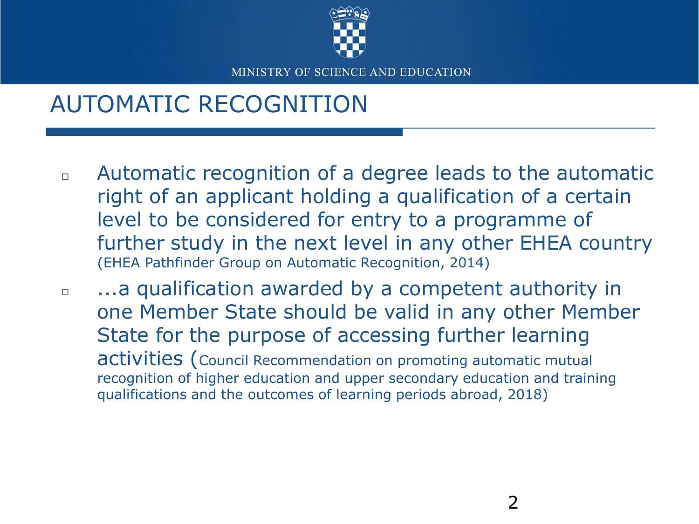

### AUTOMATIC RECOGNITION

- Automatic recognition of a degree leads to the automatic right of an applicant holding a qualification of a certain level to be considered for entry to a programme of further study in the next level in any other EHEA country (EHEA Pathfinder Group on Automatic Recognition, 2014)
- $\Box$  ...a qualification awarded by a competent authority in one Member State should be valid in any other Member State for the purpose of accessing further learning activities (Council Recommendation on promoting automatic mutual recognition of higher education and upper secondary education and training qualifications and the outcomes of learning periods abroad, 2018)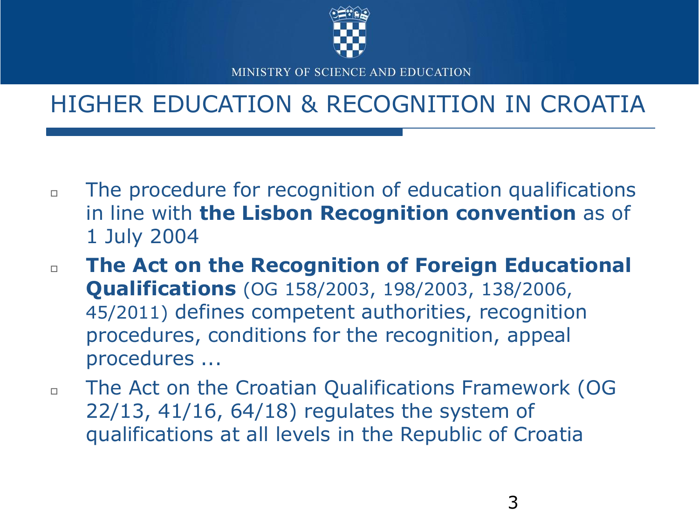

### HIGHER EDUCATION & RECOGNITION IN CROATIA

- $\Box$  The procedure for recognition of education qualifications in line with **the Lisbon Recognition convention** as of 1 July 2004
- **The Act on the Recognition of Foreign Educational Qualifications** (OG 158/2003, 198/2003, 138/2006, 45/2011) defines competent authorities, recognition procedures, conditions for the recognition, appeal procedures ...
- The Act on the Croatian Qualifications Framework (OG 22/13, 41/16, 64/18) regulates the system of qualifications at all levels in the Republic of Croatia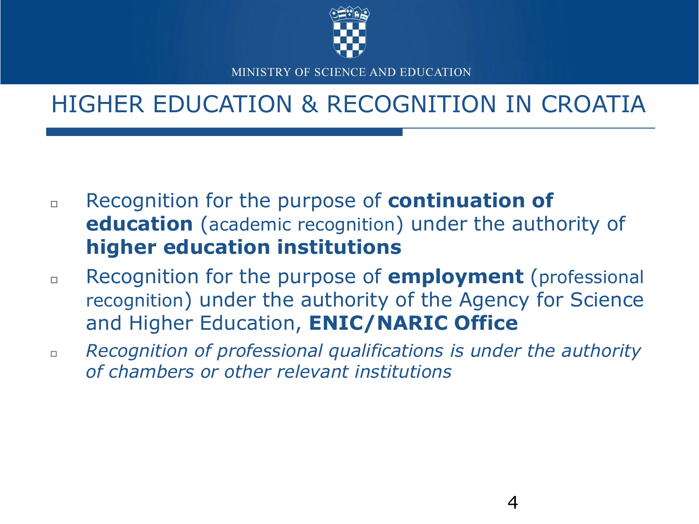

### HIGHER EDUCATION & RECOGNITION IN CROATIA

- Recognition for the purpose of **continuation of education** (academic recognition) under the authority of **higher education institutions**
- Recognition for the purpose of **employment** (professional recognition) under the authority of the Agency for Science and Higher Education, **ENIC/NARIC Office**
- *Recognition of professional qualifications is under the authority of chambers or other relevant institutions*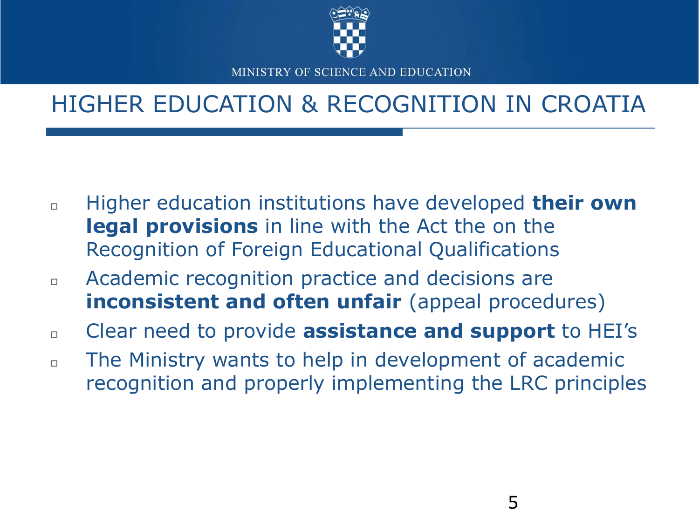

### HIGHER EDUCATION & RECOGNITION IN CROATIA

- Higher education institutions have developed **their own legal provisions** in line with the Act the on the Recognition of Foreign Educational Qualifications
- Academic recognition practice and decisions are **inconsistent and often unfair** (appeal procedures)
- Clear need to provide **assistance and support** to HEI's
- $\Box$  The Ministry wants to help in development of academic recognition and properly implementing the LRC principles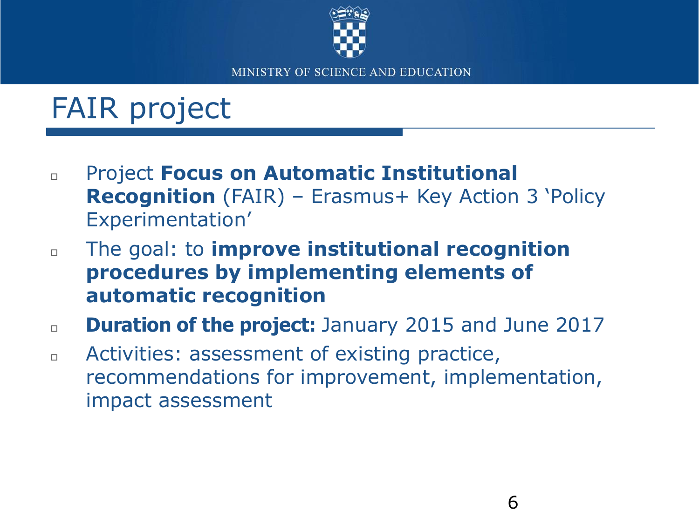

# FAIR project

- Project **Focus on Automatic Institutional Recognition** (FAIR) – Erasmus+ Key Action 3 'Policy Experimentation'
- The goal: to **improve institutional recognition procedures by implementing elements of automatic recognition**
- **Duration of the project:** January 2015 and June 2017
- **EXEC** Activities: assessment of existing practice, recommendations for improvement, implementation, impact assessment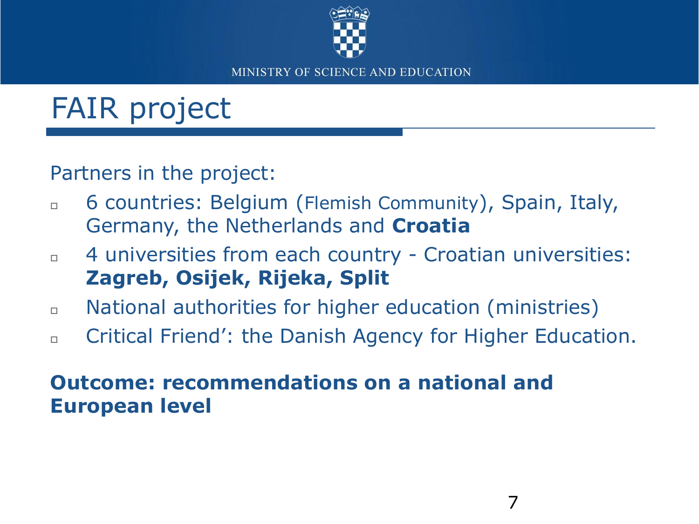

# FAIR project

Partners in the project:

- 6 countries: Belgium (Flemish Community), Spain, Italy, Germany, the Netherlands and **Croatia**
- $\Box$  4 universities from each country Croatian universities: **Zagreb, Osijek, Rijeka, Split**
- National authorities for higher education (ministries)
- Critical Friend': the Danish Agency for Higher Education.

#### **Outcome: recommendations on a national and European level**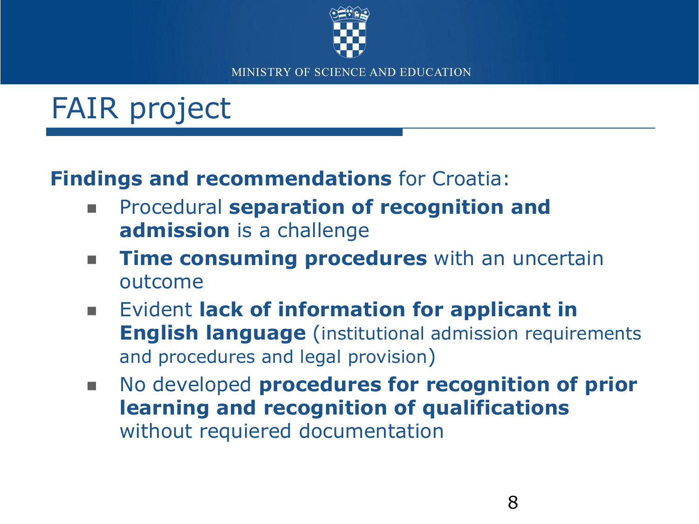

# FAIR project

### **Findings and recommendations** for Croatia:

- **EXPROCEDURE:** Procedural **separation of recognition and admission** is a challenge
- **Time consuming procedures** with an uncertain outcome
- **Exident lack of information for applicant in English language** (institutional admission requirements and procedures and legal provision)
- **No developed procedures for recognition of prior learning and recognition of qualifications**  without requiered documentation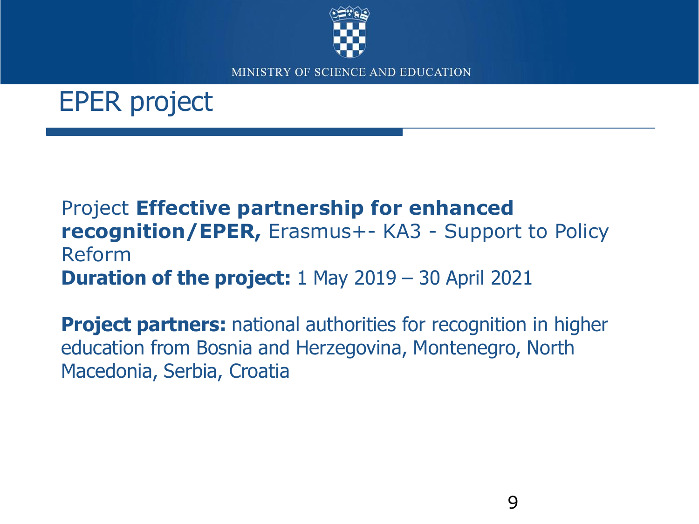

## EPER project

#### Project **Effective partnership for enhanced recognition/EPER,** Erasmus+- KA3 - Support to Policy Reform **Duration of the project:** 1 May 2019 – 30 April 2021

**Project partners:** national authorities for recognition in higher education from Bosnia and Herzegovina, Montenegro, North Macedonia, Serbia, Croatia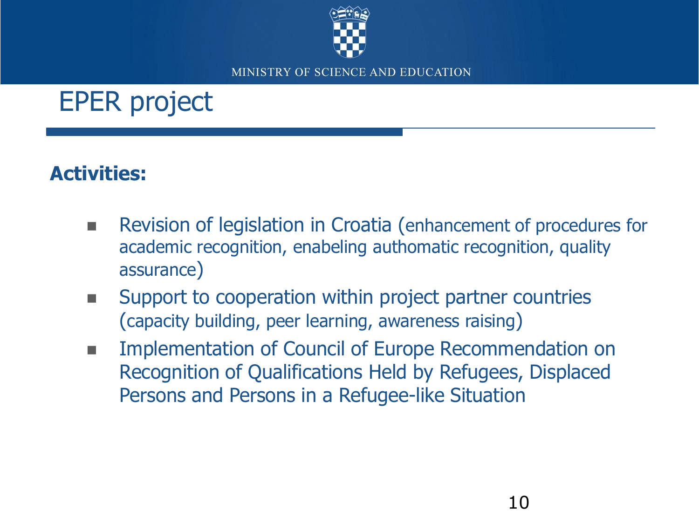

# EPER project

### **Activities:**

- Revision of legislation in Croatia (enhancement of procedures for academic recognition, enabeling authomatic recognition, quality assurance)
- **EXECUTE:** Support to cooperation within project partner countries (capacity building, peer learning, awareness raising)
- Implementation of Council of Europe Recommendation on Recognition of Qualifications Held by Refugees, Displaced Persons and Persons in a Refugee-like Situation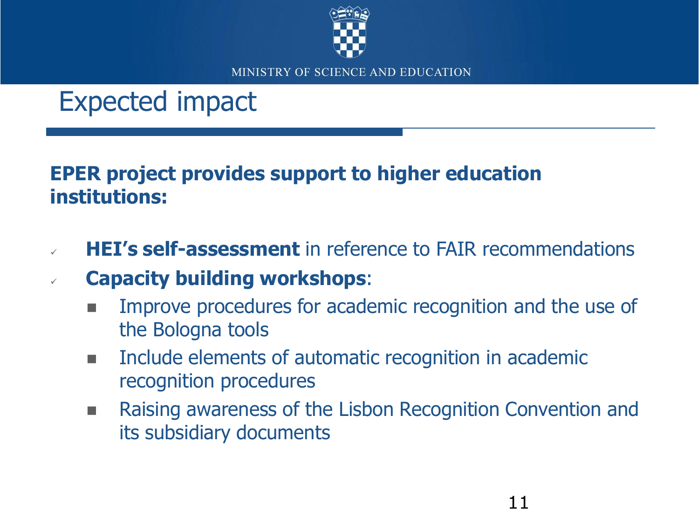

## Expected impact

#### **EPER project provides support to higher education institutions:**

- **HEI's self-assessment** in reference to FAIR recommendations
- **Capacity building workshops**:
	- Improve procedures for academic recognition and the use of the Bologna tools
	- **Include elements of automatic recognition in academic** recognition procedures
	- **Raising awareness of the Lisbon Recognition Convention and** its subsidiary documents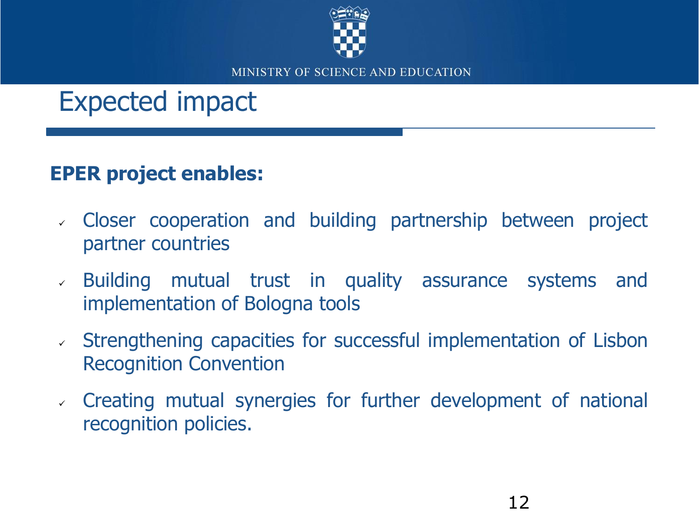

## Expected impact

### **EPER project enables:**

- Closer cooperation and building partnership between project partner countries
- Building mutual trust in quality assurance systems and implementation of Bologna tools
- Strengthening capacities for successful implementation of Lisbon Recognition Convention
- Creating mutual synergies for further development of national recognition policies.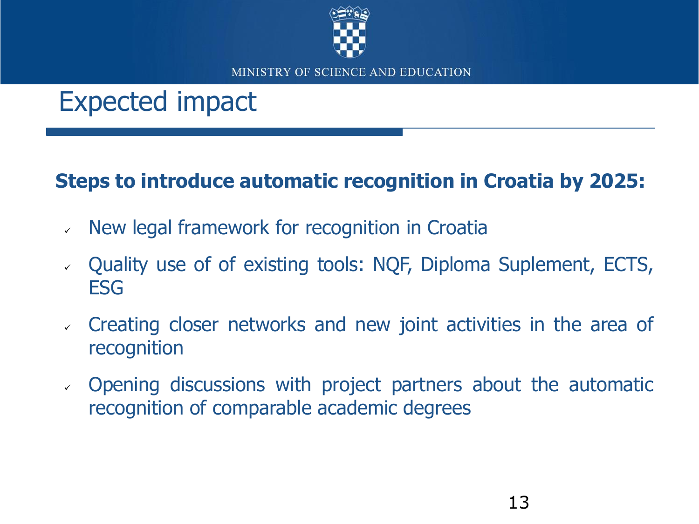

## Expected impact

### **Steps to introduce automatic recognition in Croatia by 2025:**

- $\vee$  New legal framework for recognition in Croatia
- Quality use of of existing tools: NQF, Diploma Suplement, ECTS, ESG
- Creating closer networks and new joint activities in the area of recognition
- Opening discussions with project partners about the automatic recognition of comparable academic degrees